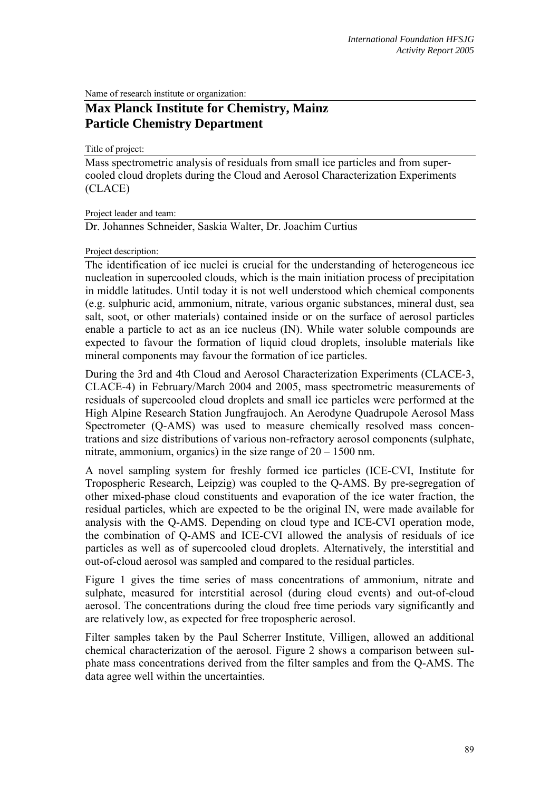Name of research institute or organization:

## **Max Planck Institute for Chemistry, Mainz Particle Chemistry Department**

Title of project:

Mass spectrometric analysis of residuals from small ice particles and from supercooled cloud droplets during the Cloud and Aerosol Characterization Experiments (CLACE)

Project leader and team:

Dr. Johannes Schneider, Saskia Walter, Dr. Joachim Curtius

## Project description:

The identification of ice nuclei is crucial for the understanding of heterogeneous ice nucleation in supercooled clouds, which is the main initiation process of precipitation in middle latitudes. Until today it is not well understood which chemical components (e.g. sulphuric acid, ammonium, nitrate, various organic substances, mineral dust, sea salt, soot, or other materials) contained inside or on the surface of aerosol particles enable a particle to act as an ice nucleus (IN). While water soluble compounds are expected to favour the formation of liquid cloud droplets, insoluble materials like mineral components may favour the formation of ice particles.

During the 3rd and 4th Cloud and Aerosol Characterization Experiments (CLACE-3, CLACE-4) in February/March 2004 and 2005, mass spectrometric measurements of residuals of supercooled cloud droplets and small ice particles were performed at the High Alpine Research Station Jungfraujoch. An Aerodyne Quadrupole Aerosol Mass Spectrometer (Q-AMS) was used to measure chemically resolved mass concentrations and size distributions of various non-refractory aerosol components (sulphate, nitrate, ammonium, organics) in the size range of 20 – 1500 nm.

A novel sampling system for freshly formed ice particles (ICE-CVI, Institute for Tropospheric Research, Leipzig) was coupled to the Q-AMS. By pre-segregation of other mixed-phase cloud constituents and evaporation of the ice water fraction, the residual particles, which are expected to be the original IN, were made available for analysis with the Q-AMS. Depending on cloud type and ICE-CVI operation mode, the combination of Q-AMS and ICE-CVI allowed the analysis of residuals of ice particles as well as of supercooled cloud droplets. Alternatively, the interstitial and out-of-cloud aerosol was sampled and compared to the residual particles.

Figure 1 gives the time series of mass concentrations of ammonium, nitrate and sulphate, measured for interstitial aerosol (during cloud events) and out-of-cloud aerosol. The concentrations during the cloud free time periods vary significantly and are relatively low, as expected for free tropospheric aerosol.

Filter samples taken by the Paul Scherrer Institute, Villigen, allowed an additional chemical characterization of the aerosol. Figure 2 shows a comparison between sulphate mass concentrations derived from the filter samples and from the Q-AMS. The data agree well within the uncertainties.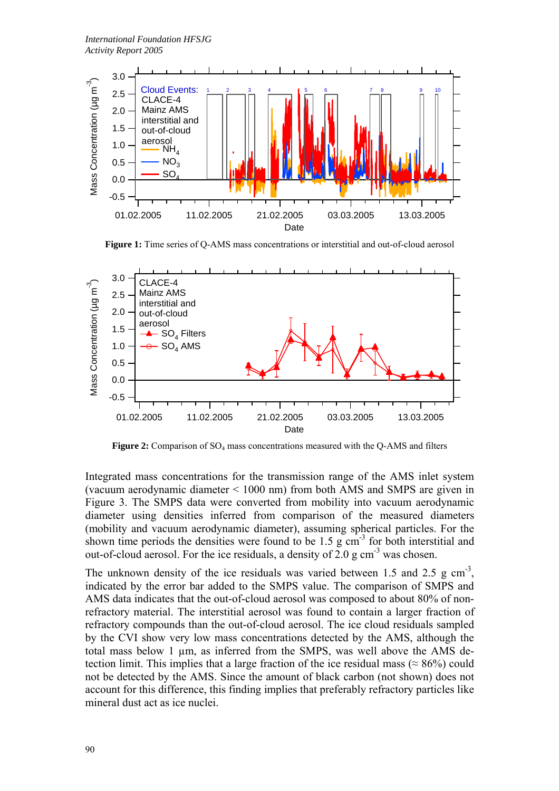

**Figure 1:** Time series of Q-AMS mass concentrations or interstitial and out-of-cloud aerosol



Figure 2: Comparison of SO<sub>4</sub> mass concentrations measured with the Q-AMS and filters

Integrated mass concentrations for the transmission range of the AMS inlet system (vacuum aerodynamic diameter < 1000 nm) from both AMS and SMPS are given in Figure 3. The SMPS data were converted from mobility into vacuum aerodynamic diameter using densities inferred from comparison of the measured diameters (mobility and vacuum aerodynamic diameter), assuming spherical particles. For the shown time periods the densities were found to be 1.5 g  $cm<sup>3</sup>$  for both interstitial and out-of-cloud aerosol. For the ice residuals, a density of  $2.0 \text{ g cm}^{-3}$  was chosen.

The unknown density of the ice residuals was varied between 1.5 and 2.5 g  $cm^{-3}$ , indicated by the error bar added to the SMPS value. The comparison of SMPS and AMS data indicates that the out-of-cloud aerosol was composed to about 80% of nonrefractory material. The interstitial aerosol was found to contain a larger fraction of refractory compounds than the out-of-cloud aerosol. The ice cloud residuals sampled by the CVI show very low mass concentrations detected by the AMS, although the total mass below 1 µm, as inferred from the SMPS, was well above the AMS detection limit. This implies that a large fraction of the ice residual mass ( $\approx 86\%$ ) could not be detected by the AMS. Since the amount of black carbon (not shown) does not account for this difference, this finding implies that preferably refractory particles like mineral dust act as ice nuclei.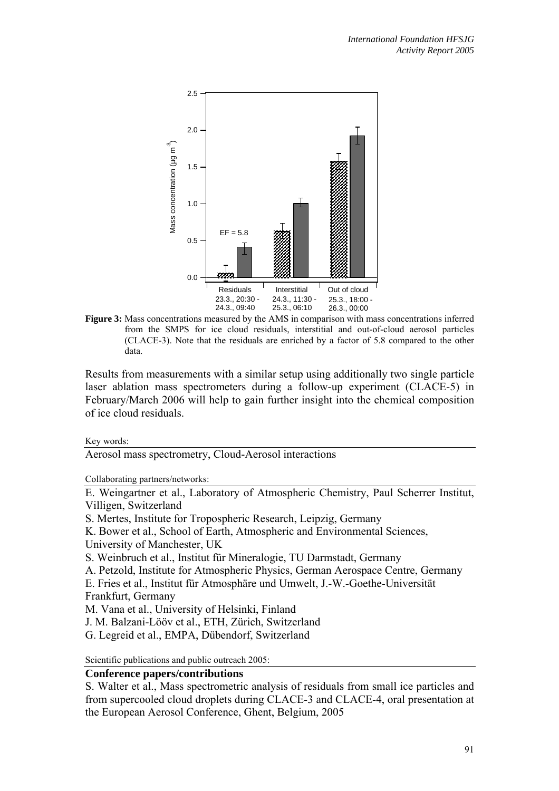

**Figure 3:** Mass concentrations measured by the AMS in comparison with mass concentrations inferred from the SMPS for ice cloud residuals, interstitial and out-of-cloud aerosol particles (CLACE-3). Note that the residuals are enriched by a factor of 5.8 compared to the other data.

Results from measurements with a similar setup using additionally two single particle laser ablation mass spectrometers during a follow-up experiment (CLACE-5) in February/March 2006 will help to gain further insight into the chemical composition of ice cloud residuals.

Key words:

Aerosol mass spectrometry, Cloud-Aerosol interactions

Collaborating partners/networks:

E. Weingartner et al., Laboratory of Atmospheric Chemistry, Paul Scherrer Institut, Villigen, Switzerland

S. Mertes, Institute for Tropospheric Research, Leipzig, Germany

K. Bower et al., School of Earth, Atmospheric and Environmental Sciences,

University of Manchester, UK

S. Weinbruch et al., Institut für Mineralogie, TU Darmstadt, Germany

A. Petzold, Institute for Atmospheric Physics, German Aerospace Centre, Germany

E. Fries et al., Institut für Atmosphäre und Umwelt, J.-W.-Goethe-Universität Frankfurt, Germany

M. Vana et al., University of Helsinki, Finland

J. M. Balzani-Lööv et al., ETH, Zürich, Switzerland

G. Legreid et al., EMPA, Dübendorf, Switzerland

Scientific publications and public outreach 2005:

## **Conference papers/contributions**

S. Walter et al., Mass spectrometric analysis of residuals from small ice particles and from supercooled cloud droplets during CLACE-3 and CLACE-4, oral presentation at the European Aerosol Conference, Ghent, Belgium, 2005